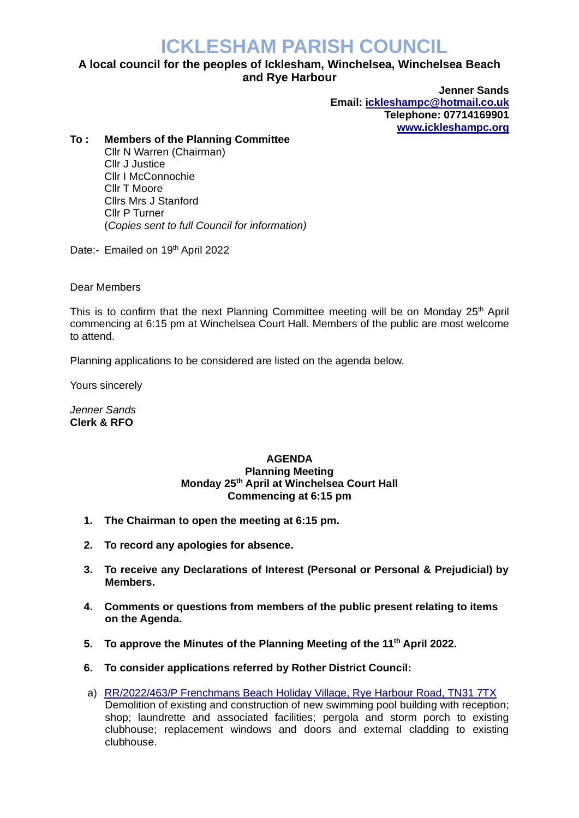## **ICKLESHAM PARISH COUNCIL**

## **A local council for the peoples of Icklesham, Winchelsea, Winchelsea Beach and Rye Harbour**

**Jenner Sands Email: [ickleshampc@hotmail.co.uk](mailto:ickleshampc@hotmail.co.uk) Telephone: 07714169901 [www.ickleshampc.org](http://www.ickleshampc.org/)**

## **To : Members of the Planning Committee**

Cllr N Warren (Chairman) Cllr J Justice Cllr I McConnochie Cllr T Moore Cllrs Mrs J Stanford Cllr P Turner (*Copies sent to full Council for information)*

Date:- Emailed on 19th April 2022

Dear Members

This is to confirm that the next Planning Committee meeting will be on Monday  $25<sup>th</sup>$  April commencing at 6:15 pm at Winchelsea Court Hall. Members of the public are most welcome to attend.

Planning applications to be considered are listed on the agenda below.

Yours sincerely

*Jenner Sands* **Clerk & RFO**

## **AGENDA Planning Meeting Monday 25th April at Winchelsea Court Hall Commencing at 6:15 pm**

- **1. The Chairman to open the meeting at 6:15 pm.**
- **2. To record any apologies for absence.**
- **3. To receive any Declarations of Interest (Personal or Personal & Prejudicial) by Members.**
- **4. Comments or questions from members of the public present relating to items on the Agenda.**
- **5. To approve the Minutes of the Planning Meeting of the 11th April 2022.**
- **6. To consider applications referred by Rother District Council:**
- a) RR/2022/463/P [Frenchmans Beach Holiday Village, Rye Harbour Road, TN31 7TX](http://planweb01.rother.gov.uk/OcellaWeb/planningDetails?reference=RR/2022/463/P) Demolition of existing and construction of new swimming pool building with reception; shop; laundrette and associated facilities; pergola and storm porch to existing clubhouse; replacement windows and doors and external cladding to existing clubhouse.